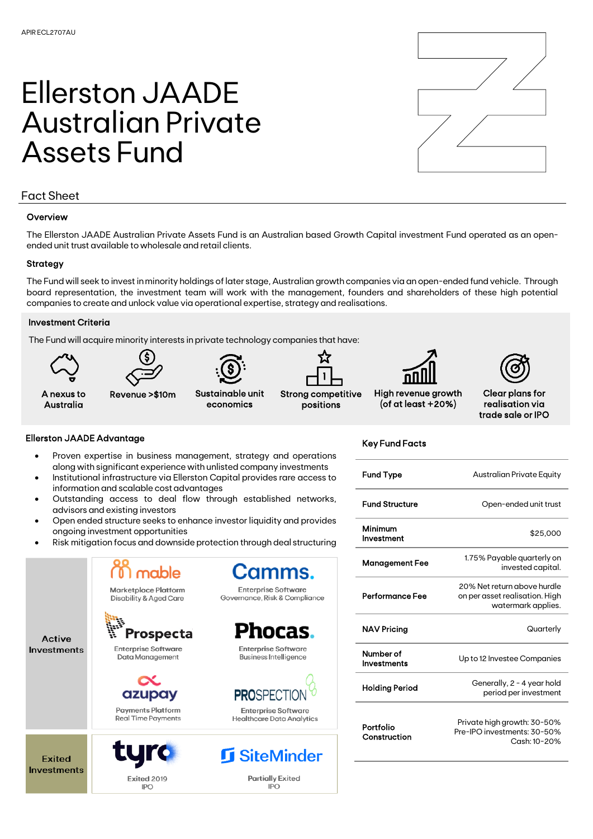# Ellerston JAADE Australian Private Assets Fund



# Fact Sheet

### **Overview**

The Ellerston JAADE Australian Private Assets Fund is an Australian based Growth Capital investment Fund operated as an openended unit trust available to wholesale and retail clients.

#### **Strategy**

The Fund will seek to invest in minority holdings of later stage, Australian growth companies via an open-ended fund vehicle. Through board representation, the investment team will work with the management, founders and shareholders of these high potential companies to create and unlock value via operational expertise, strategy and realisations.

#### Investment Criteria

The Fund will acquire minority interests in private technology companies that have:



#### Ellerston JAADE Advantage

**Active** 

**Investments** 

**Exited Investments** 

- Proven expertise in business management, strategy and operations along with significant experience with unlisted company investments
- Institutional infrastructure via Ellerston Capital provides rare access to information and scalable cost advantages
- Outstanding access to deal flow through established networks, advisors and existing investors
- Open ended structure seeks to enhance investor liquidity and provides ongoing investment opportunities
- Risk mitigation focus and downside protection through deal structuring

mable Marketplace Platform Disability & Aged Care

**Enterprise Software** Governance, Risk & Compliance

amms.

**Prospecta** 

**Enterprise Software** Data Management

azupay

**Payments Platform Real Time Payments** 



Exited 2019 **IPO** 

cas **Enterprise Software** Business Intelligence

**PROSPEC** 

**Enterprise Software Healthcare Data Analytics** 

**I** SiteMinder

**Partially Exited** IPO

Key Fund Facts

| <b>Fund Type</b>                | Australian Private Equity                                                           |
|---------------------------------|-------------------------------------------------------------------------------------|
| <b>Fund Structure</b>           | Open-ended unit trust                                                               |
| Minimum<br>Investment           | \$25,000                                                                            |
| <b>Management Fee</b>           | 1.75% Payable quarterly on<br>invested capital.                                     |
| Performance Fee                 | 20% Net return above hurdle<br>on per asset realisation. High<br>watermark applies. |
| <b>NAV Pricing</b>              | Quarterly                                                                           |
| Number of<br><b>Investments</b> | Up to 12 Investee Companies                                                         |
| <b>Holding Period</b>           | Generally, 2 - 4 year hold<br>period per investment                                 |
| Portfolio<br>Construction       | Private high growth: 30-50%<br>Pre-IPO investments: 30-50%<br>Cash: 10-20%          |